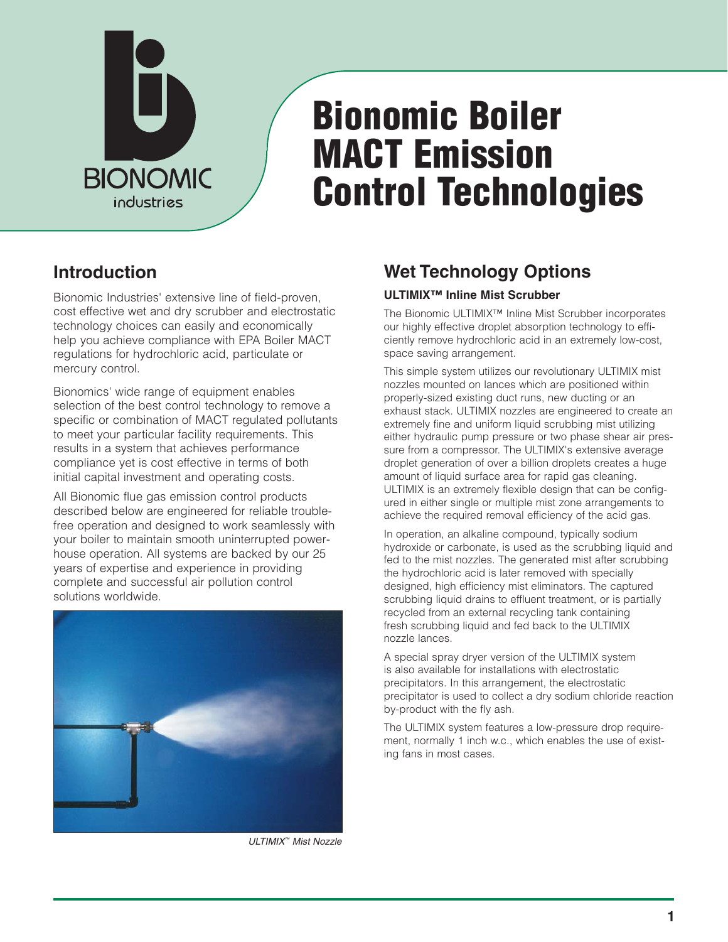

# **Bionomic Boiler MACT Emission Control Technologies**

### **Introduction**

Bionomic Industries' extensive line of field-proven, cost effective wet and dry scrubber and electrostatic technology choices can easily and economically help you achieve compliance with EPA Boiler MACT regulations for hydrochloric acid, particulate or mercury control.

Bionomics' wide range of equipment enables selection of the best control technology to remove a specific or combination of MACT regulated pollutants to meet your particular facility requirements. This results in a system that achieves performance compliance yet is cost effective in terms of both initial capital investment and operating costs.

All Bionomic flue gas emission control products described below are engineered for reliable troublefree operation and designed to work seamlessly with your boiler to maintain smooth uninterrupted powerhouse operation. All systems are backed by our 25 years of expertise and experience in providing complete and successful air pollution control solutions worldwide.



ULTIMIX™ Mist Nozzle

## **Wet Technology Options**

#### **ULTIMIX™ Inline Mist Scrubber**

The Bionomic ULTIMIX™ Inline Mist Scrubber incorporates our highly effective droplet absorption technology to efficiently remove hydrochloric acid in an extremely low-cost, space saving arrangement.

This simple system utilizes our revolutionary ULTIMIX mist nozzles mounted on lances which are positioned within properly-sized existing duct runs, new ducting or an exhaust stack. ULTIMIX nozzles are engineered to create an extremely fine and uniform liquid scrubbing mist utilizing either hydraulic pump pressure or two phase shear air pressure from a compressor. The ULTIMIX's extensive average droplet generation of over a billion droplets creates a huge amount of liquid surface area for rapid gas cleaning. ULTIMIX is an extremely flexible design that can be configured in either single or multiple mist zone arrangements to achieve the required removal efficiency of the acid gas.

In operation, an alkaline compound, typically sodium hydroxide or carbonate, is used as the scrubbing liquid and fed to the mist nozzles. The generated mist after scrubbing the hydrochloric acid is later removed with specially designed, high efficiency mist eliminators. The captured scrubbing liquid drains to effluent treatment, or is partially recycled from an external recycling tank containing fresh scrubbing liquid and fed back to the ULTIMIX nozzle lances.

A special spray dryer version of the ULTIMIX system is also available for installations with electrostatic precipitators. In this arrangement, the electrostatic precipitator is used to collect a dry sodium chloride reaction by-product with the fly ash.

The ULTIMIX system features a low-pressure drop requirement, normally 1 inch w.c., which enables the use of existing fans in most cases.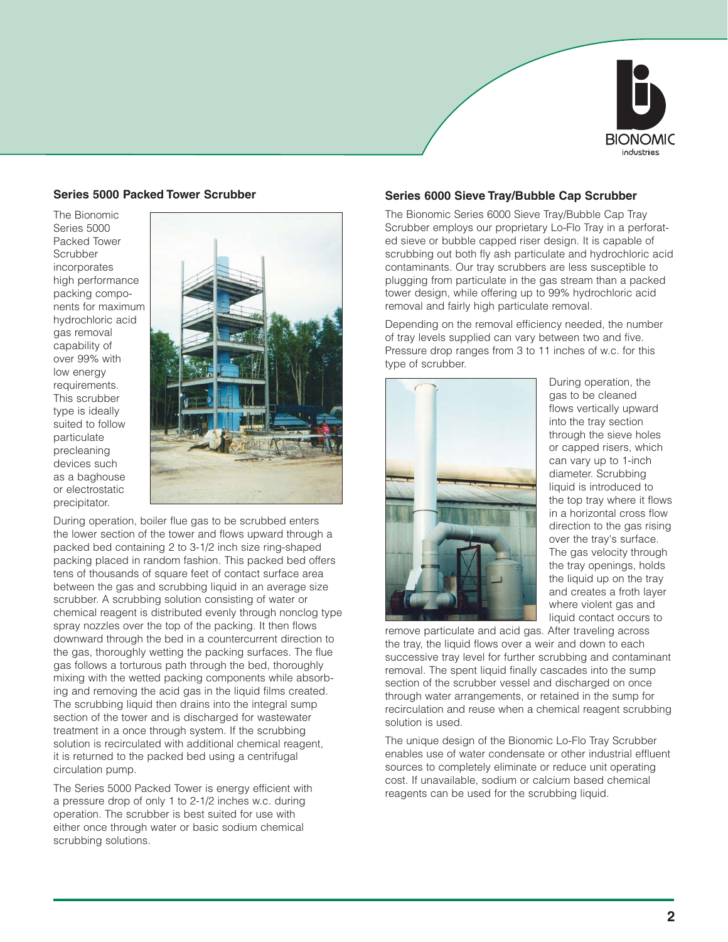

#### **Series 5000 Packed Tower Scrubber**

The Bionomic Series 5000 Packed Tower **Scrubber** incorporates high performance packing components for maximum hydrochloric acid gas removal capability of over 99% with low energy requirements. This scrubber type is ideally suited to follow particulate precleaning devices such as a baghouse or electrostatic precipitator.



During operation, boiler flue gas to be scrubbed enters the lower section of the tower and flows upward through a packed bed containing 2 to 3-1/2 inch size ring-shaped packing placed in random fashion. This packed bed offers tens of thousands of square feet of contact surface area between the gas and scrubbing liquid in an average size scrubber. A scrubbing solution consisting of water or chemical reagent is distributed evenly through nonclog type spray nozzles over the top of the packing. It then flows downward through the bed in a countercurrent direction to the gas, thoroughly wetting the packing surfaces. The flue gas follows a torturous path through the bed, thoroughly mixing with the wetted packing components while absorbing and removing the acid gas in the liquid films created. The scrubbing liquid then drains into the integral sump section of the tower and is discharged for wastewater treatment in a once through system. If the scrubbing solution is recirculated with additional chemical reagent, it is returned to the packed bed using a centrifugal circulation pump.

The Series 5000 Packed Tower is energy efficient with a pressure drop of only 1 to 2-1/2 inches w.c. during operation. The scrubber is best suited for use with either once through water or basic sodium chemical scrubbing solutions.

#### **Series 6000 Sieve Tray/Bubble Cap Scrubber**

The Bionomic Series 6000 Sieve Tray/Bubble Cap Tray Scrubber employs our proprietary Lo-Flo Tray in a perforated sieve or bubble capped riser design. It is capable of scrubbing out both fly ash particulate and hydrochloric acid contaminants. Our tray scrubbers are less susceptible to plugging from particulate in the gas stream than a packed tower design, while offering up to 99% hydrochloric acid removal and fairly high particulate removal.

Depending on the removal efficiency needed, the number of tray levels supplied can vary between two and five. Pressure drop ranges from 3 to 11 inches of w.c. for this type of scrubber.



During operation, the gas to be cleaned flows vertically upward into the tray section through the sieve holes or capped risers, which can vary up to 1-inch diameter. Scrubbing liquid is introduced to the top tray where it flows in a horizontal cross flow direction to the gas rising over the tray's surface. The gas velocity through the tray openings, holds the liquid up on the tray and creates a froth layer where violent gas and liquid contact occurs to

remove particulate and acid gas. After traveling across the tray, the liquid flows over a weir and down to each successive tray level for further scrubbing and contaminant removal. The spent liquid finally cascades into the sump section of the scrubber vessel and discharged on once through water arrangements, or retained in the sump for recirculation and reuse when a chemical reagent scrubbing solution is used.

The unique design of the Bionomic Lo-Flo Tray Scrubber enables use of water condensate or other industrial effluent sources to completely eliminate or reduce unit operating cost. If unavailable, sodium or calcium based chemical reagents can be used for the scrubbing liquid.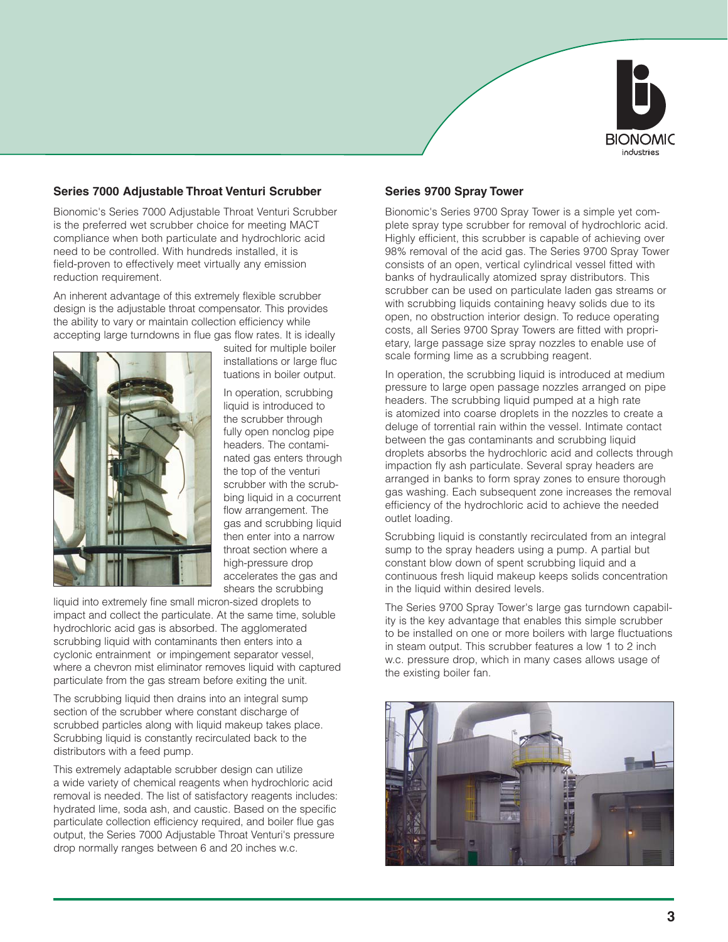

#### **Series 7000 Adjustable Throat Venturi Scrubber**

Bionomic's Series 7000 Adjustable Throat Venturi Scrubber is the preferred wet scrubber choice for meeting MACT compliance when both particulate and hydrochloric acid need to be controlled. With hundreds installed, it is field-proven to effectively meet virtually any emission reduction requirement.

An inherent advantage of this extremely flexible scrubber design is the adjustable throat compensator. This provides the ability to vary or maintain collection efficiency while accepting large turndowns in flue gas flow rates. It is ideally



suited for multiple boiler installations or large fluc tuations in boiler output.

In operation, scrubbing liquid is introduced to the scrubber through fully open nonclog pipe headers. The contaminated gas enters through the top of the venturi scrubber with the scrubbing liquid in a cocurrent flow arrangement. The gas and scrubbing liquid then enter into a narrow throat section where a high-pressure drop accelerates the gas and shears the scrubbing

liquid into extremely fine small micron-sized droplets to impact and collect the particulate. At the same time, soluble hydrochloric acid gas is absorbed. The agglomerated scrubbing liquid with contaminants then enters into a cyclonic entrainment or impingement separator vessel, where a chevron mist eliminator removes liquid with captured particulate from the gas stream before exiting the unit.

The scrubbing liquid then drains into an integral sump section of the scrubber where constant discharge of scrubbed particles along with liquid makeup takes place. Scrubbing liquid is constantly recirculated back to the distributors with a feed pump.

This extremely adaptable scrubber design can utilize a wide variety of chemical reagents when hydrochloric acid removal is needed. The list of satisfactory reagents includes: hydrated lime, soda ash, and caustic. Based on the specific particulate collection efficiency required, and boiler flue gas output, the Series 7000 Adjustable Throat Venturi's pressure drop normally ranges between 6 and 20 inches w.c.

#### **Series 9700 Spray Tower**

Bionomic's Series 9700 Spray Tower is a simple yet complete spray type scrubber for removal of hydrochloric acid. Highly efficient, this scrubber is capable of achieving over 98% removal of the acid gas. The Series 9700 Spray Tower consists of an open, vertical cylindrical vessel fitted with banks of hydraulically atomized spray distributors. This scrubber can be used on particulate laden gas streams or with scrubbing liquids containing heavy solids due to its open, no obstruction interior design. To reduce operating costs, all Series 9700 Spray Towers are fitted with proprietary, large passage size spray nozzles to enable use of scale forming lime as a scrubbing reagent.

In operation, the scrubbing liquid is introduced at medium pressure to large open passage nozzles arranged on pipe headers. The scrubbing liquid pumped at a high rate is atomized into coarse droplets in the nozzles to create a deluge of torrential rain within the vessel. Intimate contact between the gas contaminants and scrubbing liquid droplets absorbs the hydrochloric acid and collects through impaction fly ash particulate. Several spray headers are arranged in banks to form spray zones to ensure thorough gas washing. Each subsequent zone increases the removal efficiency of the hydrochloric acid to achieve the needed outlet loading.

Scrubbing liquid is constantly recirculated from an integral sump to the spray headers using a pump. A partial but constant blow down of spent scrubbing liquid and a continuous fresh liquid makeup keeps solids concentration in the liquid within desired levels.

The Series 9700 Spray Tower's large gas turndown capability is the key advantage that enables this simple scrubber to be installed on one or more boilers with large fluctuations in steam output. This scrubber features a low 1 to 2 inch w.c. pressure drop, which in many cases allows usage of the existing boiler fan.

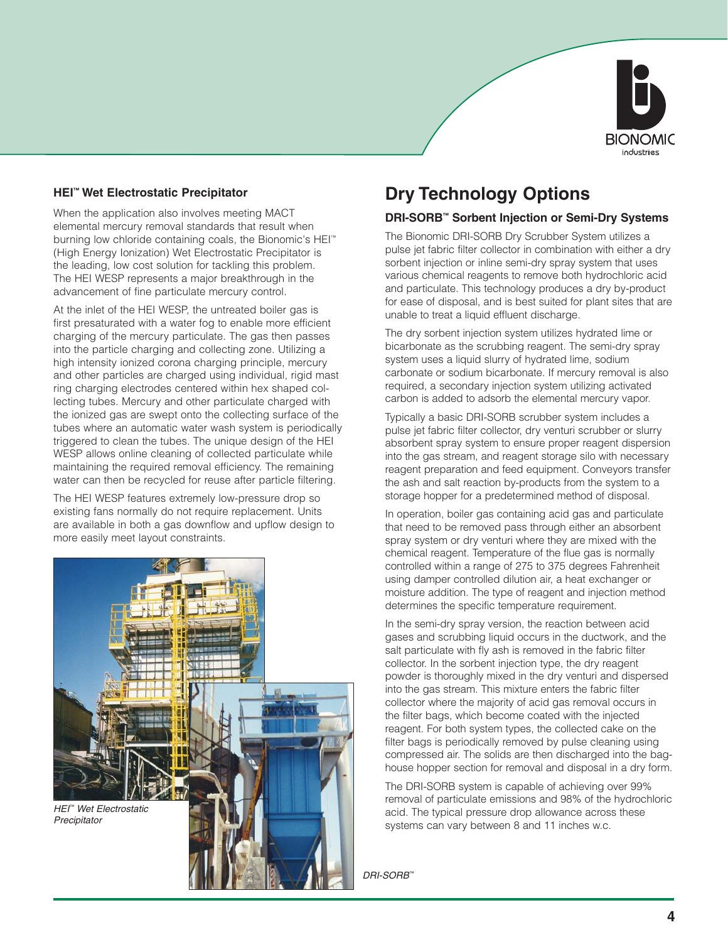

#### **HEI™ Wet Electrostatic Precipitator**

When the application also involves meeting MACT elemental mercury removal standards that result when burning low chloride containing coals, the Bionomic's HEI™ (High Energy Ionization) Wet Electrostatic Precipitator is the leading, low cost solution for tackling this problem. The HEI WESP represents a major breakthrough in the advancement of fine particulate mercury control.

At the inlet of the HEI WESP, the untreated boiler gas is first presaturated with a water fog to enable more efficient charging of the mercury particulate. The gas then passes into the particle charging and collecting zone. Utilizing a high intensity ionized corona charging principle, mercury and other particles are charged using individual, rigid mast ring charging electrodes centered within hex shaped collecting tubes. Mercury and other particulate charged with the ionized gas are swept onto the collecting surface of the tubes where an automatic water wash system is periodically triggered to clean the tubes. The unique design of the HEI WESP allows online cleaning of collected particulate while maintaining the required removal efficiency. The remaining water can then be recycled for reuse after particle filtering.

The HEI WESP features extremely low-pressure drop so existing fans normally do not require replacement. Units are available in both a gas downflow and upflow design to more easily meet layout constraints.



### **Dry Technology Options**

#### **DRI-SORB™ Sorbent Injection or Semi-Dry Systems**

The Bionomic DRI-SORB Dry Scrubber System utilizes a pulse jet fabric filter collector in combination with either a dry sorbent injection or inline semi-dry spray system that uses various chemical reagents to remove both hydrochloric acid and particulate. This technology produces a dry by-product for ease of disposal, and is best suited for plant sites that are unable to treat a liquid effluent discharge.

The dry sorbent injection system utilizes hydrated lime or bicarbonate as the scrubbing reagent. The semi-dry spray system uses a liquid slurry of hydrated lime, sodium carbonate or sodium bicarbonate. If mercury removal is also required, a secondary injection system utilizing activated carbon is added to adsorb the elemental mercury vapor.

Typically a basic DRI-SORB scrubber system includes a pulse jet fabric filter collector, dry venturi scrubber or slurry absorbent spray system to ensure proper reagent dispersion into the gas stream, and reagent storage silo with necessary reagent preparation and feed equipment. Conveyors transfer the ash and salt reaction by-products from the system to a storage hopper for a predetermined method of disposal.

In operation, boiler gas containing acid gas and particulate that need to be removed pass through either an absorbent spray system or dry venturi where they are mixed with the chemical reagent. Temperature of the flue gas is normally controlled within a range of 275 to 375 degrees Fahrenheit using damper controlled dilution air, a heat exchanger or moisture addition. The type of reagent and injection method determines the specific temperature requirement.

In the semi-dry spray version, the reaction between acid gases and scrubbing liquid occurs in the ductwork, and the salt particulate with fly ash is removed in the fabric filter collector. In the sorbent injection type, the dry reagent powder is thoroughly mixed in the dry venturi and dispersed into the gas stream. This mixture enters the fabric filter collector where the majority of acid gas removal occurs in the filter bags, which become coated with the injected reagent. For both system types, the collected cake on the filter bags is periodically removed by pulse cleaning using compressed air. The solids are then discharged into the baghouse hopper section for removal and disposal in a dry form.

The DRI-SORB system is capable of achieving over 99% removal of particulate emissions and 98% of the hydrochloric acid. The typical pressure drop allowance across these systems can vary between 8 and 11 inches w.c.

DRI-SORB™